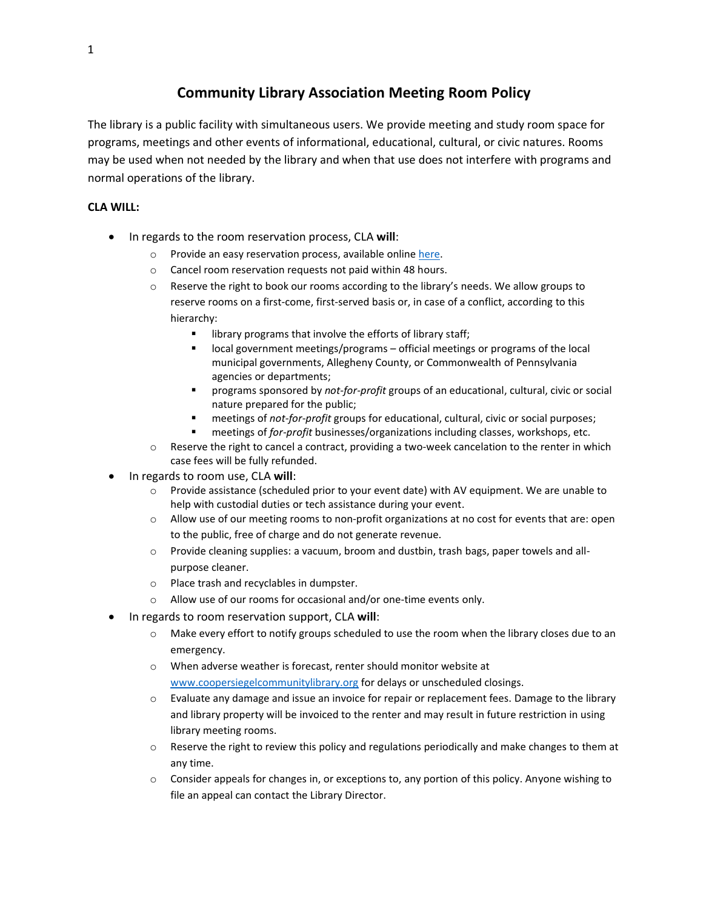# **Community Library Association Meeting Room Policy**

The library is a public facility with simultaneous users. We provide meeting and study room space for programs, meetings and other events of informational, educational, cultural, or civic natures. Rooms may be used when not needed by the library and when that use does not interfere with programs and normal operations of the library.

## **CLA WILL:**

- In regards to the room reservation process, CLA **will**:
	- o Provide an easy reservation process, available onlin[e here.](https://coopersiegel.librarycalendar.com/reserve-room)
	- o Cancel room reservation requests not paid within 48 hours.
	- $\circ$  Reserve the right to book our rooms according to the library's needs. We allow groups to reserve rooms on a first-come, first-served basis or, in case of a conflict, according to this hierarchy:
		- library programs that involve the efforts of library staff;
		- local government meetings/programs official meetings or programs of the local municipal governments, Allegheny County, or Commonwealth of Pennsylvania agencies or departments;
		- programs sponsored by *not-for-profit* groups of an educational, cultural, civic or social nature prepared for the public;
		- meetings of *not-for-profit* groups for educational, cultural, civic or social purposes;
		- meetings of *for-profit* businesses/organizations including classes, workshops, etc.
	- o Reserve the right to cancel a contract, providing a two-week cancelation to the renter in which case fees will be fully refunded.
- In regards to room use, CLA **will**:
	- $\circ$  Provide assistance (scheduled prior to your event date) with AV equipment. We are unable to help with custodial duties or tech assistance during your event.
	- o Allow use of our meeting rooms to non-profit organizations at no cost for events that are: open to the public, free of charge and do not generate revenue.
	- o Provide cleaning supplies: a vacuum, broom and dustbin, trash bags, paper towels and allpurpose cleaner.
	- o Place trash and recyclables in dumpster.
	- o Allow use of our rooms for occasional and/or one-time events only.
- In regards to room reservation support, CLA **will**:
	- o Make every effort to notify groups scheduled to use the room when the library closes due to an emergency.
	- o When adverse weather is forecast, renter should monitor website at [www.coopersiegelcommunitylibrary.org](http://www.coopersiegelcommunitylibrary.org/) for delays or unscheduled closings.
	- o Evaluate any damage and issue an invoice for repair or replacement fees. Damage to the library and library property will be invoiced to the renter and may result in future restriction in using library meeting rooms.
	- $\circ$  Reserve the right to review this policy and regulations periodically and make changes to them at any time.
	- $\circ$  Consider appeals for changes in, or exceptions to, any portion of this policy. Anyone wishing to file an appeal can contact the Library Director.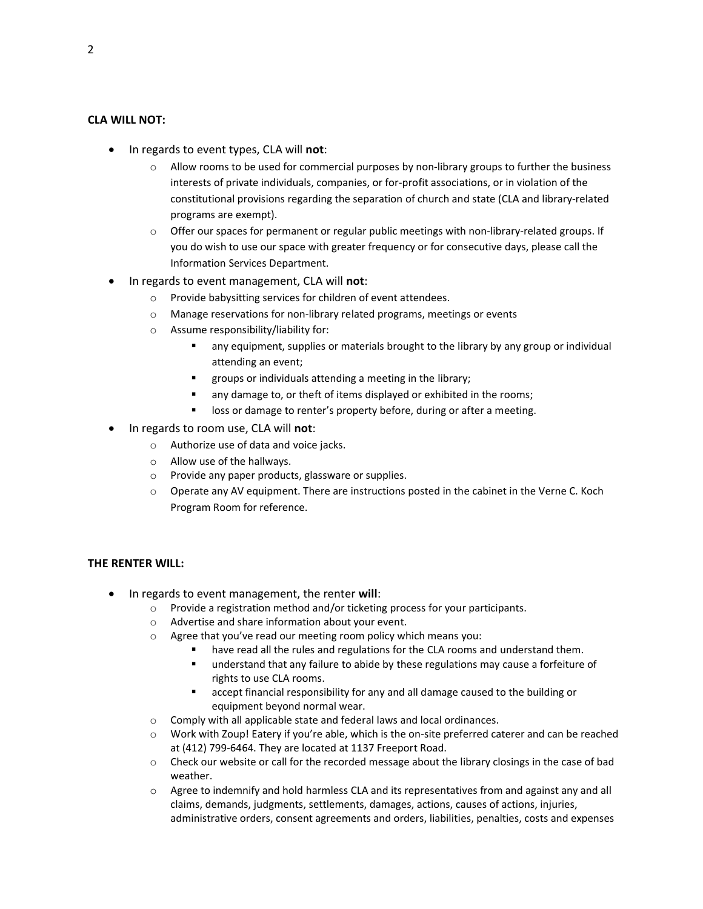### **CLA WILL NOT:**

- In regards to event types, CLA will **not**:
	- $\circ$  Allow rooms to be used for commercial purposes by non-library groups to further the business interests of private individuals, companies, or for-profit associations, or in violation of the constitutional provisions regarding the separation of church and state (CLA and library-related programs are exempt).
	- o Offer our spaces for permanent or regular public meetings with non-library-related groups. If you do wish to use our space with greater frequency or for consecutive days, please call the Information Services Department.
- In regards to event management, CLA will **not**:
	- o Provide babysitting services for children of event attendees.
	- o Manage reservations for non-library related programs, meetings or events
	- o Assume responsibility/liability for:
		- any equipment, supplies or materials brought to the library by any group or individual attending an event;
		- groups or individuals attending a meeting in the library;
		- any damage to, or theft of items displayed or exhibited in the rooms;
		- loss or damage to renter's property before, during or after a meeting.
- In regards to room use, CLA will **not**:
	- o Authorize use of data and voice jacks.
	- o Allow use of the hallways.
	- o Provide any paper products, glassware or supplies.
	- o Operate any AV equipment. There are instructions posted in the cabinet in the Verne C. Koch Program Room for reference.

#### **THE RENTER WILL:**

- In regards to event management, the renter **will**:
	- $\circ$  Provide a registration method and/or ticketing process for your participants.
	- o Advertise and share information about your event.
	- o Agree that you've read our meeting room policy which means you:
		- have read all the rules and regulations for the CLA rooms and understand them.
		- understand that any failure to abide by these regulations may cause a forfeiture of rights to use CLA rooms.
		- accept financial responsibility for any and all damage caused to the building or equipment beyond normal wear.
	- o Comply with all applicable state and federal laws and local ordinances.
	- o Work with Zoup! Eatery if you're able, which is the on-site preferred caterer and can be reached at (412) 799-6464. They are located at 1137 Freeport Road.
	- o Check our website or call for the recorded message about the library closings in the case of bad weather.
	- o Agree to indemnify and hold harmless CLA and its representatives from and against any and all claims, demands, judgments, settlements, damages, actions, causes of actions, injuries, administrative orders, consent agreements and orders, liabilities, penalties, costs and expenses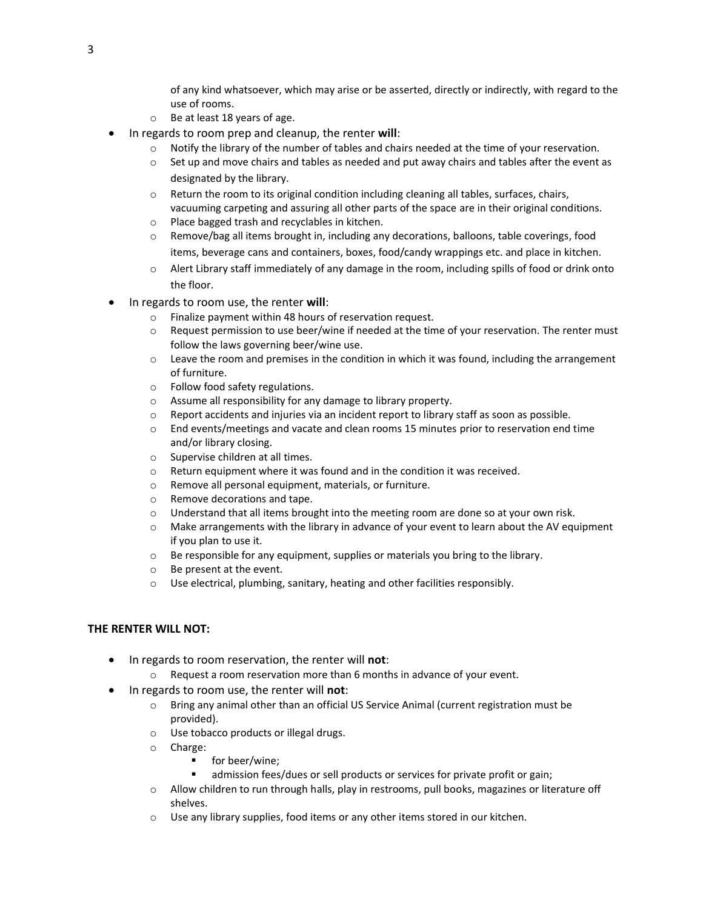of any kind whatsoever, which may arise or be asserted, directly or indirectly, with regard to the use of rooms.

- o Be at least 18 years of age.
- In regards to room prep and cleanup, the renter **will**:
	- $\circ$  Notify the library of the number of tables and chairs needed at the time of your reservation.
	- $\circ$  Set up and move chairs and tables as needed and put away chairs and tables after the event as designated by the library.
	- $\circ$  Return the room to its original condition including cleaning all tables, surfaces, chairs, vacuuming carpeting and assuring all other parts of the space are in their original conditions.
	- o Place bagged trash and recyclables in kitchen.
	- $\circ$  Remove/bag all items brought in, including any decorations, balloons, table coverings, food items, beverage cans and containers, boxes, food/candy wrappings etc. and place in kitchen.
	- $\circ$  Alert Library staff immediately of any damage in the room, including spills of food or drink onto the floor.
- In regards to room use, the renter **will**:
	- o Finalize payment within 48 hours of reservation request.
	- o Request permission to use beer/wine if needed at the time of your reservation. The renter must follow the laws governing beer/wine use.
	- o Leave the room and premises in the condition in which it was found, including the arrangement of furniture.
	- o Follow food safety regulations.
	- o Assume all responsibility for any damage to library property.
	- $\circ$  Report accidents and injuries via an incident report to library staff as soon as possible.
	- o End events/meetings and vacate and clean rooms 15 minutes prior to reservation end time and/or library closing.
	- o Supervise children at all times.
	- $\circ$  Return equipment where it was found and in the condition it was received.
	- o Remove all personal equipment, materials, or furniture.
	- o Remove decorations and tape.
	- $\circ$  Understand that all items brought into the meeting room are done so at your own risk.
	- $\circ$  Make arrangements with the library in advance of your event to learn about the AV equipment if you plan to use it.
	- o Be responsible for any equipment, supplies or materials you bring to the library.
	- o Be present at the event.
	- o Use electrical, plumbing, sanitary, heating and other facilities responsibly.

#### **THE RENTER WILL NOT:**

- In regards to room reservation, the renter will **not**:
	- o Request a room reservation more than 6 months in advance of your event.
- In regards to room use, the renter will **not**:
	- o Bring any animal other than an official US Service Animal (current registration must be provided).
	- o Use tobacco products or illegal drugs.
	- o Charge:
		- for beer/wine;
		- admission fees/dues or sell products or services for private profit or gain;
	- o Allow children to run through halls, play in restrooms, pull books, magazines or literature off shelves.
	- $\circ$  Use any library supplies, food items or any other items stored in our kitchen.